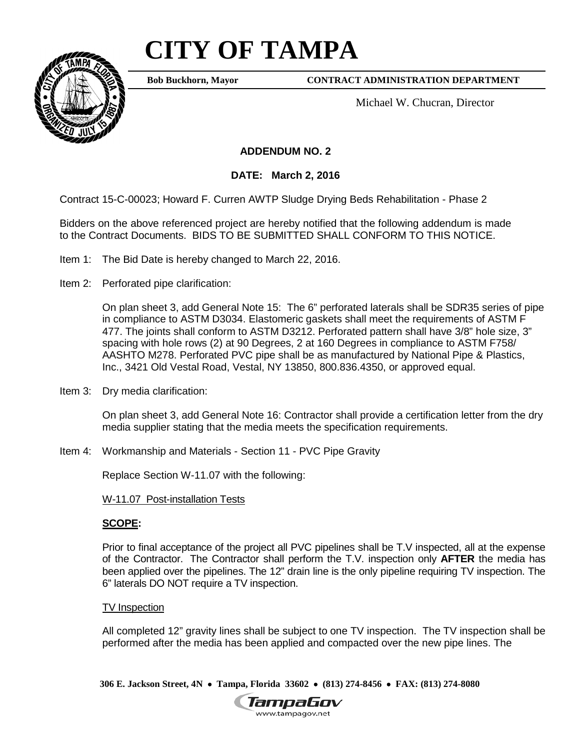## **CITY OF TAMPA**



**Bob Buckhorn, Mayor**

**CONTRACT ADMINISTRATION DEPARTMENT**

Michael W. Chucran, Director

**ADDENDUM NO. 2**

**DATE: March 2, 2016**

Contract 15-C-00023; Howard F. Curren AWTP Sludge Drying Beds Rehabilitation - Phase 2

Bidders on the above referenced project are hereby notified that the following addendum is made to the Contract Documents. BIDS TO BE SUBMITTED SHALL CONFORM TO THIS NOTICE.

- Item 1: The Bid Date is hereby changed to March 22, 2016.
- Item 2: Perforated pipe clarification:

On plan sheet 3, add General Note 15: The 6" perforated laterals shall be SDR35 series of pipe in compliance to ASTM D3034. Elastomeric gaskets shall meet the requirements of ASTM F 477. The joints shall conform to ASTM D3212. Perforated pattern shall have 3/8" hole size, 3" spacing with hole rows (2) at 90 Degrees, 2 at 160 Degrees in compliance to ASTM F758/ AASHTO M278. Perforated PVC pipe shall be as manufactured by National Pipe & Plastics, Inc., 3421 Old Vestal Road, Vestal, NY 13850, 800.836.4350, or approved equal.

Item 3: Dry media clarification:

On plan sheet 3, add General Note 16: Contractor shall provide a certification letter from the dry media supplier stating that the media meets the specification requirements.

Item 4: Workmanship and Materials - Section 11 - PVC Pipe Gravity

Replace Section W-11.07 with the following:

W-11.07 Post-installation Tests

## **SCOPE:**

Prior to final acceptance of the project all PVC pipelines shall be T.V inspected, all at the expense of the Contractor. The Contractor shall perform the T.V. inspection only **AFTER** the media has been applied over the pipelines. The 12" drain line is the only pipeline requiring TV inspection. The 6" laterals DO NOT require a TV inspection.

## TV Inspection

All completed 12" gravity lines shall be subject to one TV inspection. The TV inspection shall be performed after the media has been applied and compacted over the new pipe lines. The

**306 E. Jackson Street, 4N** • **Tampa, Florida 33602** • **(813) 274-8456** • **FAX: (813) 274-8080**